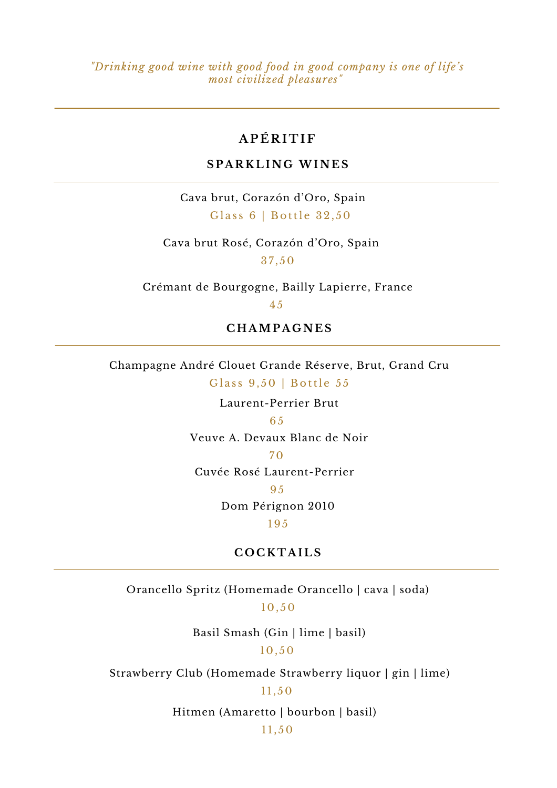*"Drinking good wine with good food in good company is one of life's most civilized pleasures"*

# **A P É R I T IF**

## **S P A R K L I N G WI N E S**

Cava brut, Corazón d'Oro, Spain Glass 6 | Bottle 32,50

Cava brut Rosé, Corazón d'Oro, Spain 3 7 , 5 0

Crémant de Bourgogne, Bailly Lapierre, France

4 5

#### **C H AMP A G N E S**

Champagne André Clouet Grande Réserve, Brut, Grand Cru Glass 9,50 | Bottle 55

Laurent-Perrier Brut

#### 65

Veuve A. Devaux Blanc de Noir

#### $70$

Cuvée Rosé Laurent-Perrier

#### 95

Dom Pérignon 2010

195

#### $C$  **COCKTAILS**

Orancello Spritz (Homemade Orancello | cava | soda) 1 0 , 5 0

Basil Smash (Gin | lime | basil)

## 1 0 , 5 0

Strawberry Club (Homemade Strawberry liquor | gin | lime)

#### $11, 50$

Hitmen (Amaretto | bourbon | basil)

 $11, 50$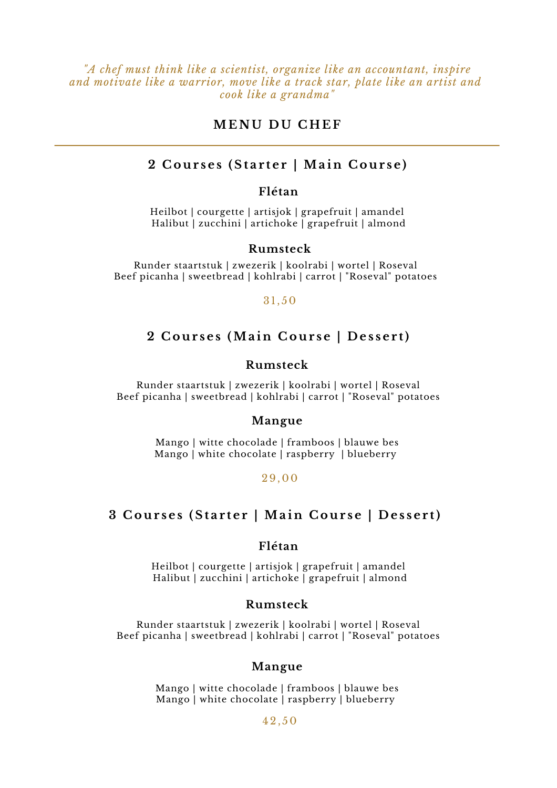*"A chef must think like a scientist, organize like an accountant, inspire and motivate like a warrior, move like a track star, plate like an artist and cook like a grandma"*

## **ME N U D U C H E F**

#### 2 Courses (Starter | Main Course)

#### **Flétan**

Heilbot | courgette | artisjok | grapefruit | amandel Halibut | zucchini | artichoke | grapefruit | almond

#### **Rumsteck**

Runder staartstuk | zwezerik | koolrabi | wortel | Roseval Beef picanha | sweetbread | kohlrabi | carrot | "Roseval" potatoes

#### 3 1 , 5 0

## 2 Courses (Main Course | Dessert)

#### **Rumsteck**

Runder staartstuk | zwezerik | koolrabi | wortel | Roseval Beef picanha | sweetbread | kohlrabi | carrot | "Roseval" potatoes

#### **Mangue**

Mango | witte chocolade | framboos | blauwe bes Mango | white chocolate | raspberry | blueberry

#### 29, 0 0

## 3 Courses (Starter | Main Course | Dessert)

#### **Flétan**

Heilbot | courgette | artisjok | grapefruit | amandel Halibut | zucchini | artichoke | grapefruit | almond

#### **Rumsteck**

Runder staartstuk | zwezerik | koolrabi | wortel | Roseval Beef picanha | sweetbread | kohlrabi | carrot | "Roseval" potatoes

#### **Mangue**

Mango | witte chocolade | framboos | blauwe bes Mango | white chocolate | raspberry | blueberry

#### 4 2 , 5 0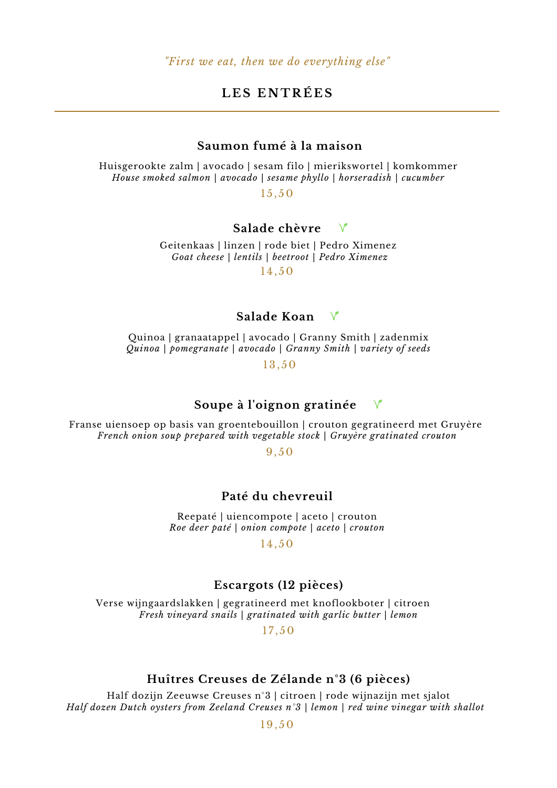# **L E S E N T R É E S**

## **Saumon fumé à la maison**

Huisgerookte zalm | avocado | sesam filo | mierikswortel | komkommer *House smoked salmon | avocado | sesame phyllo | horseradish | cucumber*

 $15.50$ 

## **Salade chèvre**

Geitenkaas | linzen | rode biet | Pedro Ximenez *Goat cheese | lentils | beetroot | Pedro Ximenez* 1 4 , 5 0

## **Salade Koan**

Quinoa | granaatappel | avocado | Granny Smith | zadenmix *Quinoa | pomegranate | avocado | Granny Smith | variety of seeds*

1 3 , 5 0

#### **Soupe à l'oignon gratinée**  $\sqrt{ }$

Franse uiensoep op basis van groentebouillon | crouton gegratineerd met Gruyère *French onion soup prepared with vegetable stock | Gruyère gratinated crouton*

9, 5 0

#### **Paté du chevreuil**

Reepaté | uiencompote | aceto | crouton *Roe deer paté | onion compote | aceto | crouton*

1 4 , 5 0

#### **Escargots (12 pièces)**

Verse wijngaardslakken | gegratineerd met knoflookboter | citroen *Fresh vineyard snails | gratinated with garlic butter | lemon*

 $17.50$ 

#### **Huîtres Creuses de Zélande n°3 (6 pièces)**

Half dozijn Zeeuwse Creuses n°3 | citroen | rode wijnazijn met sjalot *Half dozen Dutch oysters from Zeeland Creuses n°3 | lemon | red wine vinegar with shallot*

19, 5 0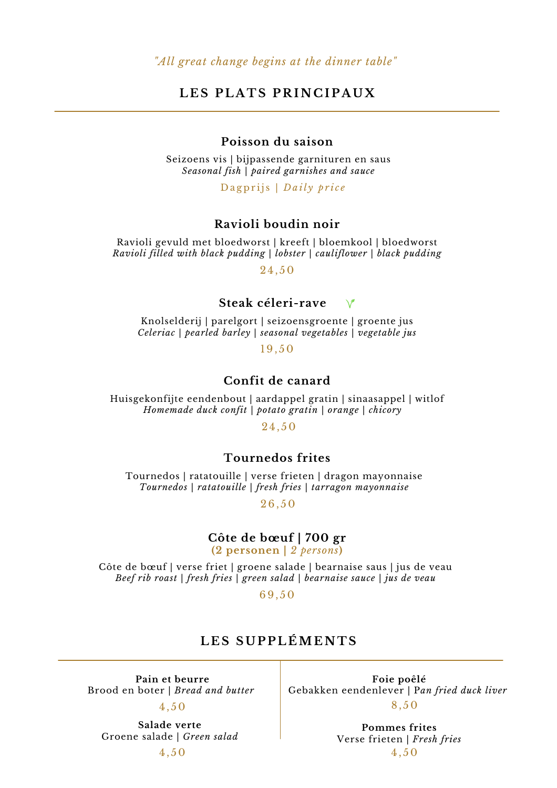## **L E S P L A T S P R I N C I P A U X**

## **Poisson du saison**

Seizoens vis | bijpassende garnituren en saus *Seasonal fish | paired garnishes and sauce*

Dagprijs | *Daily price* 

## **Ravioli boudin noir**

Ravioli gevuld met bloedworst | kreeft | bloemkool | bloedworst *Ravioli filled with black pudding | lobster | cauliflower | black pudding*

2 4 , 5 0

## **Steak céleri-rave**

Knolselderij | parelgort | seizoensgroente | groente jus *Celeriac | pearled barley | seasonal vegetables | vegetable jus*

19, 5 0

## **Confit de canard**

Huisgekonfijte eendenbout | aardappel gratin | sinaasappel | witlof *Homemade duck confit | potato gratin | orange | chicory*

2 4 , 5 0

## **Tournedos frites**

Tournedos | ratatouille | verse frieten | dragon mayonnaise *Tournedos | ratatouille | fresh fries | tarragon mayonnaise*

26, 5 0

# **Côte de bœuf | 700 gr**

**(2 personen |** *2 persons***)**

Côte de bœuf | verse friet | groene salade | bearnaise saus | jus de veau *Beef rib roast | fresh fries | green salad | bearnaise sauce | jus de veau*

69, 5 0

## **L E S S U P P L ÉME N T S**

**Pain et beurre** Brood en boter | *Bread and butter*

4 , 5 0

**Salade verte** Groene salade | *Green salad*

4 , 5 0

**Foie poêlé** Gebakken eendenlever | P*an fried duck liver* 8 , 5 0

> **Pommes frites** Verse frieten | *Fresh fries* 4 , 5 0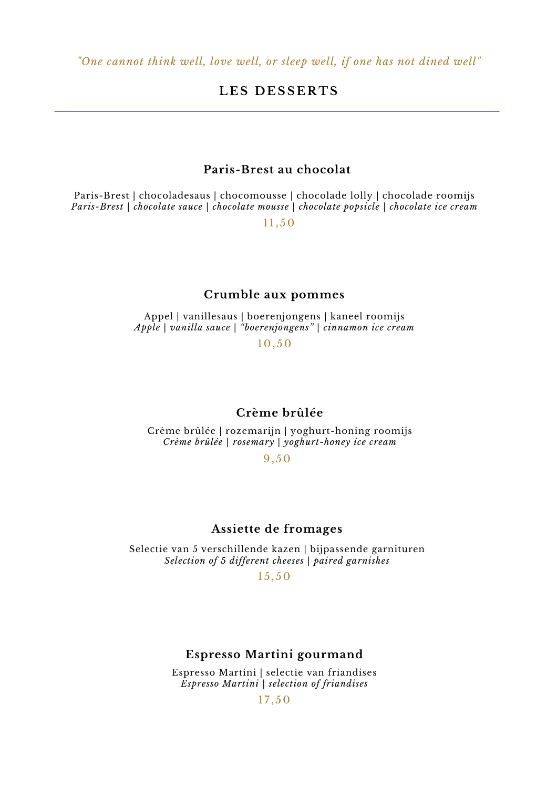# $LES$  **DESSERTS**

## **Paris-Brest au chocolat**

Paris-Brest | chocoladesaus | chocomousse | chocolade lolly | chocolade roomijs *Paris-Brest | chocolate sauce | chocolate mousse | chocolate popsicle | chocolate ice cream*

 $11.50$ 

#### **Crumble aux pommes**

Appel | vanillesaus | boerenjongens | kaneel roomijs *Apple | vanilla sauce | "boerenjongens" | cinnamon ice cream*

1 0 , 5 0

#### **Crème brûlée**

Crème brûlée | rozemarijn | yoghurt-honing roomijs *Crème brûlée | rosemary | yoghurt-honey ice cream*

9, 5 0

## **Assiette de fromages**

Selectie van 5 verschillende kazen | bijpassende garnituren *Selection of 5 different cheeses | paired garnishes*

 $15, 50$ 

#### **Espresso Martini gourmand**

Espresso Martini | selectie van friandises *Espresso Martini | selection of friandises*

 $17, 50$